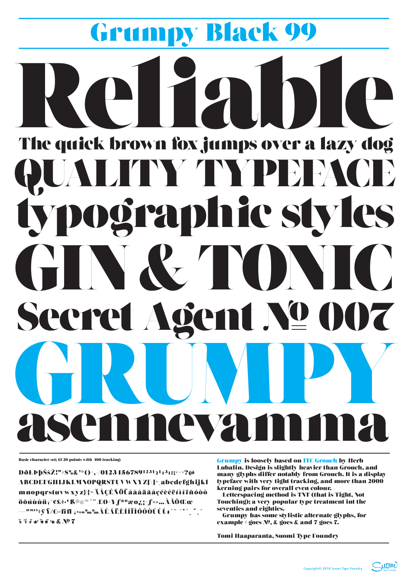# Grumpy Black 99 The quick brown fox jumps over a lazy dog LITY TYPEHACE typographic styles GINGETMIC Secret Agent Nº 007

Basic character set; 13/20 points with +100 tracking:

DðŁÞþŠšŽ!"#\$%&'\*()+,-/01234567891231/21/13/1;;<=>?@ ABCDEFGHIJKLMNOPQRSTUVWXYZ[\]^ abcdefghijk1 mnopqrstuvwxyz{{{~ÄÅÇÉÑÖÜáàâäãåçéèêëíìîïñóòô öõúùûü†°¢£\$^{ß®©™´" ÆØ±¥fªºæø¿;¬f«»…ÀÃÕŒœ  $\S$   $\S$   $\S$   $\S$   $\bullet$   $\S$   $\S$   $\S$   $\simeq$   $\&$   $N$   $\square$   $\square$ 

**Grumpy is loosely based on ITC Grouch by Herb** Lubalin, Design is slightly heavier than Grouch, and many glyphs differ notably from Grouch. It is a display typeface with very tight tracking, and more than 2000 kerning pairs for overall even colour. Letterspacing method is TNT (that is Tight, Not Touching); a very popular type treatment int the seventies and eighties. Grumpy has some stylistic alternate glyphs, for example  $\#$  goes  $N<sup>0</sup>$ , & goes & and 7 goes 7.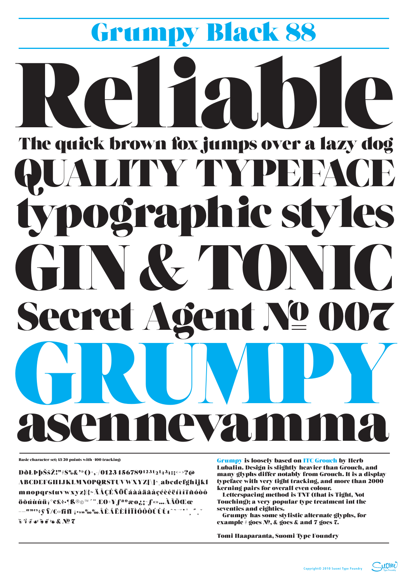### Grumpy Black 88 PITA The quick brown fox jumps over a lazy dog TYTYPE) PACE typographic styles GIN&TYMIC Secret Agent Nº 007 **V**

Basic character set; 13/20 points with +100 tracking:

**DOLDDSSZ!"#\$%&'\*()+,-/01234567891231/21/43/4:;<=>?@** ABCDEFGHIJKLMNOPQRSTUVWXYZ[\]^ abcdefghijkl mnopqrstuvwxyz{|}~ÄÅÇÉÑÖÜáàâäãåçéèêëíìîïñóòô öõúùûü†°¢£\$•¶B®©™´¨ÆØ±¥fªºæø¿;¬f«»…ÀÃÕŒœ  $\S$   $\S$   $\S$   $\S$   $\bullet$   $\S$   $\S$   $\S$   $\bullet$   $\&$   $N$   $\hbox{2}$   $\hbox{7}$ 

**Grumpy is loosely based on ITC Grouch by Herb** Lubalin. Design is slightly heavier than Grouch, and many glyphs differ notably from Grouch. It is a display typeface with very tight tracking, and more than 2000 kerning pairs for overall even colour. Letterspacing method is TNT (that is Tight, Not Touching); a very popular type treatment int the seventies and eighties. Grumpy has some stylistic alternate glyphs, for example  $#$  goes  $N<sup>0</sup>$ , & goes & and 7 goes 7.

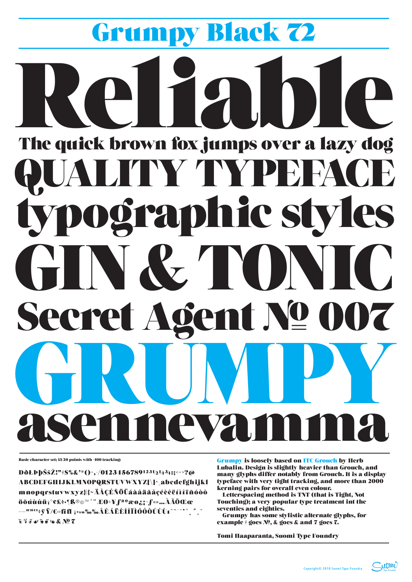### Grumpy Black 2 PIZA The quick brown fox jumps over a lazy dog TYTYPE ACE  $\Box$ typographic styles GIN&TONIC Secret Agent Nº 007 VI

Basic character set; 13/20 points with +100 tracking:

**DŎŁÞ**þŠšŽ!"#\$%&'\*()+,-/01234567891231/21/43/4:;<=>?@ ABCDEFGHIJKLMNOPQRSTUVWXYZ[\]^ abcdefghijkl mnopqrstuvwxyz{|}~ÄÅÇÉÑÖÜáàâäãåçéèêëíìîïñóòô öõúùûü†°¢£\$•¶B®©™´¨ÆØ±¥fªºæø¿;¬f«»…ÀÃÕŒœ  $\S$   $\S$   $\S$   $\S$   $\bullet$   $\S$   $\S$   $\S$   $\bullet$   $\&$   $N$   $\hbox{2}$   $\hbox{7}$ 

**Grumpy is loosely based on ITC Grouch by Herb** Lubalin, Design is slightly heavier than Grouch, and many glyphs differ notably from Grouch. It is a display typeface with very tight tracking, and more than 2000 kerning pairs for overall even colour. Letterspacing method is TNT (that is Tight, Not Touching); a very popular type treatment int the seventies and eighties. Grumpy has some stylistic alternate glyphs, for example  $#$  goes  $N<sup>0</sup>$ , & goes & and 7 goes 7.

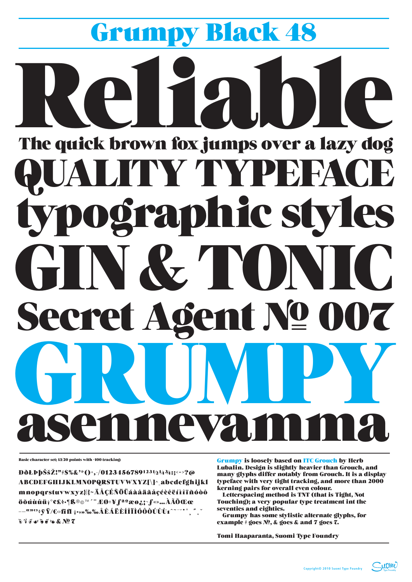# Grumpy Black 48 The quick brown fox jumps over a lazy dog UALITY TYPEFACE typographic styles GIN&TONIC Secret Agent Nº 007 T J M

Basic character set; 13/20 points with +100 tracking:

**DOLPbSSZ!"#\$%&'\*()+,-/01234567891231/21/43/4:;<->?@** ABCDEFGHIJKLMNOPORSTUVWXYZI\]^ abcdefghijkl mnopqrstuvwxyz{|}~ÄÅÇÉÑÖÜáàâäãåçéèêëíìîïñóòô öõúùûü†°¢£\$•¶ß®©™´¨ÆØ±¥∫ªºæø¿;¬f«»…ÀÃÕŒœ  $\S$   $\S$   $\S$   $\S$   $\bullet$   $\S$   $\S$   $\S$   $\bullet$   $\&$   $N$   $\subseteq$   $\mathbb{Z}$ 

**Grumpy is loosely based on ITC Grouch by Herb** Lubalin. Design is slightly heavier than Grouch, and many glyphs differ notably from Grouch. It is a display typeface with very tight tracking, and more than 2000 kerning pairs for overall even colour. Letterspacing method is TNT (that is Tight, Not Touching); a very popular type treatment int the seventies and eighties. Grumpy has some stylistic alternate glyphs, for example  $#$  goes  $N<sup>0</sup>$ , & goes & and 7 goes 7.

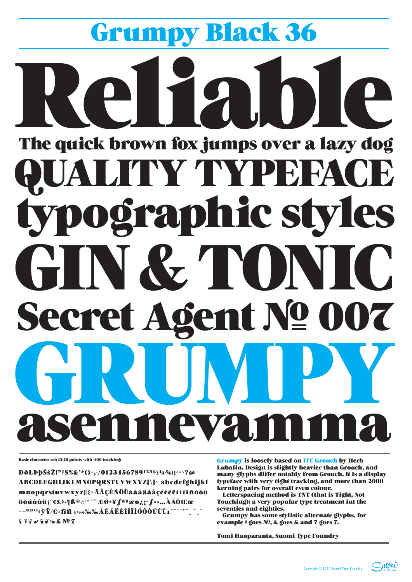# Grumpy Black 36 el 12 The quick brown fox jumps over a lazy dog QUALITY TYPEFACE typographic styles GIN & TONIC Secret Agent Nº 007 RUMI e ya

Basic character set; 13/20 points with +100 tracking:

**D**ðŁÞþŠšŽ!"#\$%&'\*()+,-/01234567891231/2143/4:;<=>?@ ABCDEFGHIJKLMNOPORSTUVWXYZI\]^ abcdefghijkl mnopqrstuvwxyz{|}~ÄÅÇÉÑÖÜáàâäãåçéèêëíìîïñóòô öõúùûü†°¢£§•¶ß®©™´"ÆØ±¥∫ªºæø¿;¬f«»…ÀÃÕŒœ  $\S$   $\S$   $\S$   $\mathcal C$   $\simeq$   $\S$   $\S$   $\simeq$   $\&$   $\mathbf M$  $\simeq$   $\mathbf Z$ 

**Grumpy is loosely based on ITC Grouch by Herb** Lubalin. Design is slightly heavier than Grouch, and many glyphs differ notably from Grouch. It is a display typeface with very tight tracking, and more than 2000 kerning pairs for overall even colour. Letterspacing method is TNT (that is Tight, Not Touching); a very popular type treatment int the seventies and eighties. Grumpy has some stylistic alternate glyphs, for example # goes  $N_2$ , & goes & and 7 goes 7.